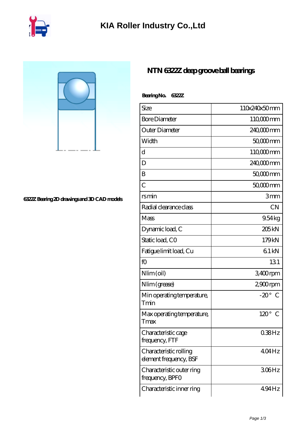

**[6322Z Bearing 2D drawings and 3D CAD models](https://iyded.com/pic-65752.html)**

## **[NTN 6322Z deep groove ball bearings](https://iyded.com/al-65752-ntn-6322z-deep-groove-ball-bearings.html)**

| Bearing No. 6322Z                                |                       |
|--------------------------------------------------|-----------------------|
| Size                                             | 110x240x50mm          |
| <b>Bore Diameter</b>                             | 110,000 mm            |
| Outer Diameter                                   | 240,000mm             |
| Width                                            | 50,000 mm             |
| d                                                | 110 <sub>c</sub> 00mm |
| D                                                | 240,000 mm            |
| B                                                | 50,000 mm             |
| C                                                | $5000$ mm             |
| <u>rsmin</u>                                     | 3mm                   |
| Radial clearance class                           | <b>CN</b>             |
| Mass                                             | 9.54kg                |
| Dynamic load, C                                  | 205 <sub>kN</sub>     |
| Static load, CO                                  | 179kN                 |
| Fatigue limit load, Cu                           | 61kN                  |
| fO                                               | 131                   |
| Nlim (oil)                                       | 3400rpm               |
| Nlim (grease)                                    | $2900$ rpm            |
| Min operating temperature,<br>Tmin               | $-20^\circ$<br>C      |
| Max operating temperature,<br>Tmax               | $120^\circ$<br>⊖      |
| Characteristic cage<br>frequency, FTF            | $038$ Hz              |
| Characteristic rolling<br>element frequency, BSF | 404Hz                 |
| Characteristic outer ring<br>frequency, BPFO     | 306Hz                 |
| Characteristic inner ring                        | $494$ Hz              |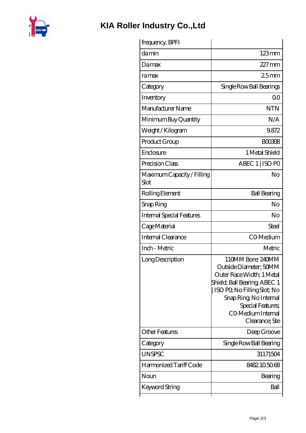

## **[KIA Roller Industry Co.,Ltd](https://iyded.com)**

| frequency, BPFI                    |                                                                                                                                                                                                                                |
|------------------------------------|--------------------------------------------------------------------------------------------------------------------------------------------------------------------------------------------------------------------------------|
| damin                              | $123 \text{mm}$                                                                                                                                                                                                                |
| Damax                              | $227 \text{mm}$                                                                                                                                                                                                                |
| ramax                              | 25mm                                                                                                                                                                                                                           |
| Category                           | Single Row Ball Bearings                                                                                                                                                                                                       |
| Inventory                          | 00                                                                                                                                                                                                                             |
| Manufacturer Name                  | <b>NTN</b>                                                                                                                                                                                                                     |
| Minimum Buy Quantity               | N/A                                                                                                                                                                                                                            |
| Weight / Kilogram                  | 9.872                                                                                                                                                                                                                          |
| Product Group                      | <b>BOO308</b>                                                                                                                                                                                                                  |
| Enclosure                          | 1 Metal Shield                                                                                                                                                                                                                 |
| Precision Class                    | ABEC 1   ISO PO                                                                                                                                                                                                                |
| Maximum Capacity / Filling<br>Slot | No                                                                                                                                                                                                                             |
| Rolling Element                    | <b>Ball Bearing</b>                                                                                                                                                                                                            |
| Snap Ring                          | No                                                                                                                                                                                                                             |
| Internal Special Features          | No                                                                                                                                                                                                                             |
| Cage Material                      | Steel                                                                                                                                                                                                                          |
| <b>Internal Clearance</b>          | CO-Medium                                                                                                                                                                                                                      |
| Inch - Metric                      | Metric                                                                                                                                                                                                                         |
| Long Description                   | 110MM Bore; 240MM<br>Outside Diameter: 50MM<br>Outer Race Width; 1 Metal<br>Shield; Ball Bearing; ABEC 1<br>ISO PO, No Filling Slot; No<br>Snap Ring, No Internal<br>Special Features;<br>CO Medium Internal<br>Clearance; Ste |
| <b>Other Features</b>              | Deep Groove                                                                                                                                                                                                                    |
| Category                           | Single Row Ball Bearing                                                                                                                                                                                                        |
| <b>UNSPSC</b>                      | 31171504                                                                                                                                                                                                                       |
| Harmonized Tariff Code             | 8482.105068                                                                                                                                                                                                                    |
| Noun                               | Bearing                                                                                                                                                                                                                        |
| Keyword String                     | Ball                                                                                                                                                                                                                           |
|                                    |                                                                                                                                                                                                                                |